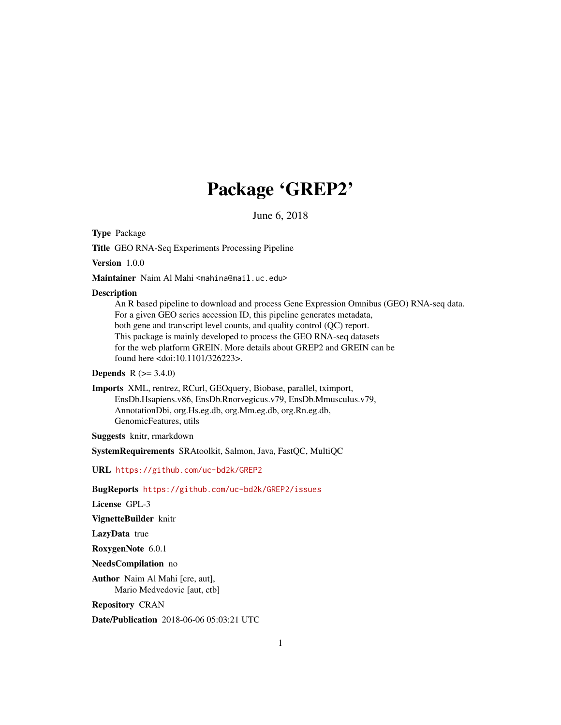# Package 'GREP2'

June 6, 2018

<span id="page-0-0"></span>Type Package

Title GEO RNA-Seq Experiments Processing Pipeline

Version 1.0.0

Maintainer Naim Al Mahi <mahina@mail.uc.edu>

#### **Description**

An R based pipeline to download and process Gene Expression Omnibus (GEO) RNA-seq data. For a given GEO series accession ID, this pipeline generates metadata, both gene and transcript level counts, and quality control (QC) report. This package is mainly developed to process the GEO RNA-seq datasets for the web platform GREIN. More details about GREP2 and GREIN can be found here <doi:10.1101/326223>.

# **Depends**  $R (= 3.4.0)$

Imports XML, rentrez, RCurl, GEOquery, Biobase, parallel, tximport, EnsDb.Hsapiens.v86, EnsDb.Rnorvegicus.v79, EnsDb.Mmusculus.v79, AnnotationDbi, org.Hs.eg.db, org.Mm.eg.db, org.Rn.eg.db, GenomicFeatures, utils

Suggests knitr, rmarkdown

SystemRequirements SRAtoolkit, Salmon, Java, FastQC, MultiQC

URL <https://github.com/uc-bd2k/GREP2>

BugReports <https://github.com/uc-bd2k/GREP2/issues>

License GPL-3

VignetteBuilder knitr

LazyData true

RoxygenNote 6.0.1

NeedsCompilation no

Author Naim Al Mahi [cre, aut], Mario Medvedovic [aut, ctb]

Repository CRAN

Date/Publication 2018-06-06 05:03:21 UTC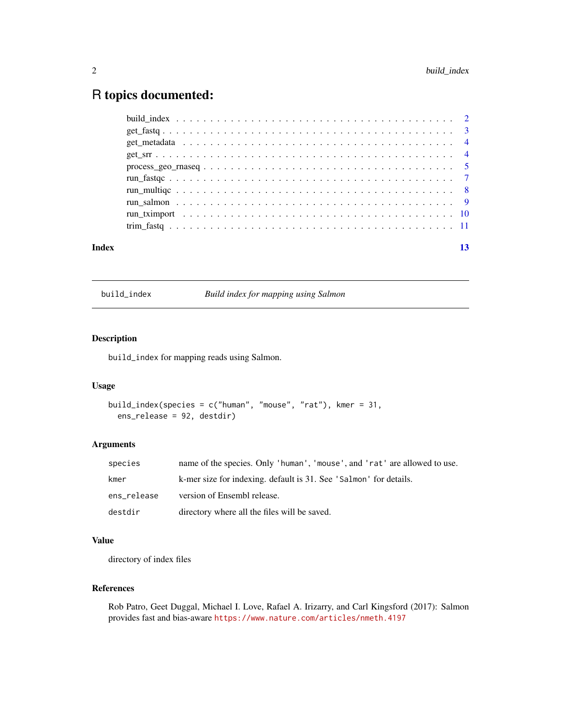# <span id="page-1-0"></span>R topics documented:

| Index |  |  |
|-------|--|--|

build\_index *Build index for mapping using Salmon*

# Description

build\_index for mapping reads using Salmon.

#### Usage

```
build_index(species = c("human", "mouse", "rat"), kmer = 31,
 ens_release = 92, destdir)
```
# Arguments

| species     | name of the species. Only 'human', 'mouse', and 'rat' are allowed to use. |
|-------------|---------------------------------------------------------------------------|
| kmer        | k-mer size for indexing. default is 31. See 'Salmon' for details.         |
| ens release | version of Ensembl release.                                               |
| destdir     | directory where all the files will be saved.                              |

# Value

directory of index files

# References

Rob Patro, Geet Duggal, Michael I. Love, Rafael A. Irizarry, and Carl Kingsford (2017): Salmon provides fast and bias-aware <https://www.nature.com/articles/nmeth.4197>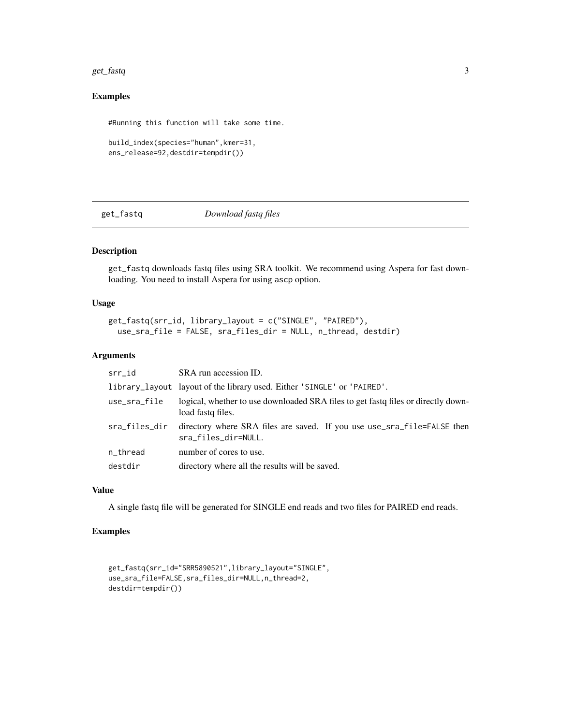#### <span id="page-2-0"></span>get\_fastq 3

# Examples

```
#Running this function will take some time.
```

```
build_index(species="human",kmer=31,
ens_release=92,destdir=tempdir())
```
get\_fastq *Download fastq files*

# Description

get\_fastq downloads fastq files using SRA toolkit. We recommend using Aspera for fast downloading. You need to install Aspera for using ascp option.

# Usage

```
get_fastq(srr_id, library_layout = c("SINGLE", "PAIRED"),
 use_sra_file = FALSE, sra_files_dir = NULL, n_thread, destdir)
```
#### Arguments

| srr_id        | SRA run accession ID.                                                                                    |
|---------------|----------------------------------------------------------------------------------------------------------|
|               | library_layout layout of the library used. Either 'SINGLE' or 'PAIRED'.                                  |
| use_sra_file  | logical, whether to use downloaded SRA files to get fast of files or directly down-<br>load fastq files. |
| sra_files_dir | directory where SRA files are saved. If you use use_sra_file=FALSE then<br>sra_files_dir=NULL.           |
| n_thread      | number of cores to use.                                                                                  |
| destdir       | directory where all the results will be saved.                                                           |

### Value

A single fastq file will be generated for SINGLE end reads and two files for PAIRED end reads.

# Examples

```
get_fastq(srr_id="SRR5890521",library_layout="SINGLE",
use_sra_file=FALSE,sra_files_dir=NULL,n_thread=2,
destdir=tempdir())
```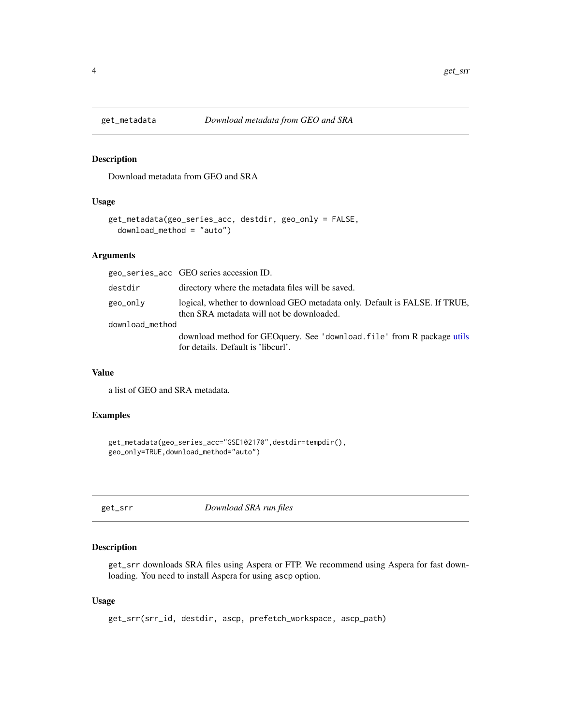<span id="page-3-0"></span>

#### Description

Download metadata from GEO and SRA

# Usage

```
get_metadata(geo_series_acc, destdir, geo_only = FALSE,
  download_method = "auto")
```
#### Arguments

|                 | geo_series_acc GEO series accession ID.                                                                                 |
|-----------------|-------------------------------------------------------------------------------------------------------------------------|
| destdir         | directory where the metadata files will be saved.                                                                       |
| geo_only        | logical, whether to download GEO metadata only. Default is FALSE. If TRUE,<br>then SRA metadata will not be downloaded. |
| download_method |                                                                                                                         |
|                 | download method for GEO query. See 'download. file' from R package utils<br>for details. Default is 'libcurl'.          |

#### Value

a list of GEO and SRA metadata.

#### Examples

```
get_metadata(geo_series_acc="GSE102170",destdir=tempdir(),
geo_only=TRUE,download_method="auto")
```
get\_srr *Download SRA run files*

# Description

get\_srr downloads SRA files using Aspera or FTP. We recommend using Aspera for fast downloading. You need to install Aspera for using ascp option.

# Usage

get\_srr(srr\_id, destdir, ascp, prefetch\_workspace, ascp\_path)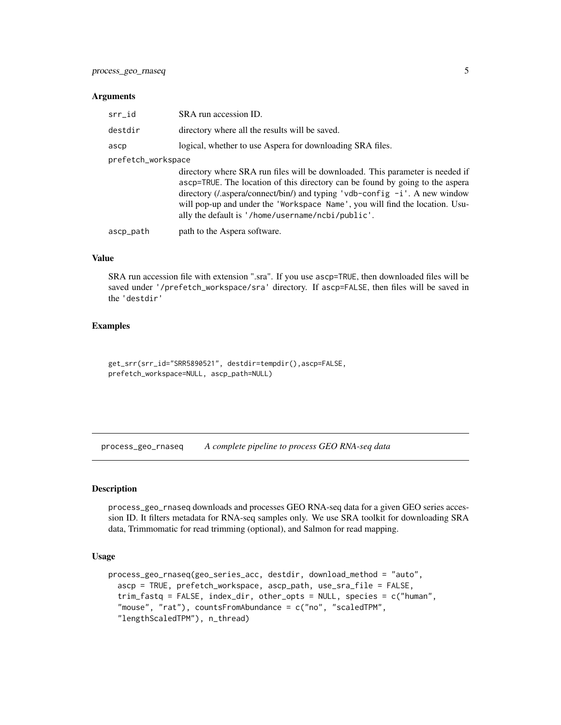#### <span id="page-4-0"></span>Arguments

| srr_id             | SRA run accession ID.                                                                                                                                                                                                                                                                                                                                                                         |  |
|--------------------|-----------------------------------------------------------------------------------------------------------------------------------------------------------------------------------------------------------------------------------------------------------------------------------------------------------------------------------------------------------------------------------------------|--|
| destdir            | directory where all the results will be saved.                                                                                                                                                                                                                                                                                                                                                |  |
| ascp               | logical, whether to use Aspera for downloading SRA files.                                                                                                                                                                                                                                                                                                                                     |  |
| prefetch_workspace |                                                                                                                                                                                                                                                                                                                                                                                               |  |
|                    | directory where SRA run files will be downloaded. This parameter is needed if<br>ascp=TRUE. The location of this directory can be found by going to the aspera<br>directory ( <i>l</i> .aspera/connect/bin/) and typing 'vdb-config $-i$ '. A new window<br>will pop-up and under the 'Workspace Name', you will find the location. Usu-<br>ally the default is '/home/username/ncbi/public'. |  |
| ascp_path          | path to the Aspera software.                                                                                                                                                                                                                                                                                                                                                                  |  |
|                    |                                                                                                                                                                                                                                                                                                                                                                                               |  |

#### Value

SRA run accession file with extension ".sra". If you use ascp=TRUE, then downloaded files will be saved under '/prefetch\_workspace/sra' directory. If ascp=FALSE, then files will be saved in the 'destdir'

#### Examples

get\_srr(srr\_id="SRR5890521", destdir=tempdir(),ascp=FALSE, prefetch\_workspace=NULL, ascp\_path=NULL)

process\_geo\_rnaseq *A complete pipeline to process GEO RNA-seq data*

# Description

process\_geo\_rnaseq downloads and processes GEO RNA-seq data for a given GEO series accession ID. It filters metadata for RNA-seq samples only. We use SRA toolkit for downloading SRA data, Trimmomatic for read trimming (optional), and Salmon for read mapping.

#### Usage

```
process_geo_rnaseq(geo_series_acc, destdir, download_method = "auto",
  ascp = TRUE, prefetch_workspace, ascp_path, use_sra_file = FALSE,
  trim_fastq = FALSE, index_dir, other_opts = NULL, species = c("human",
  "mouse", "rat"), countsFromAbundance = c("no", "scaledTPM",
  "lengthScaledTPM"), n_thread)
```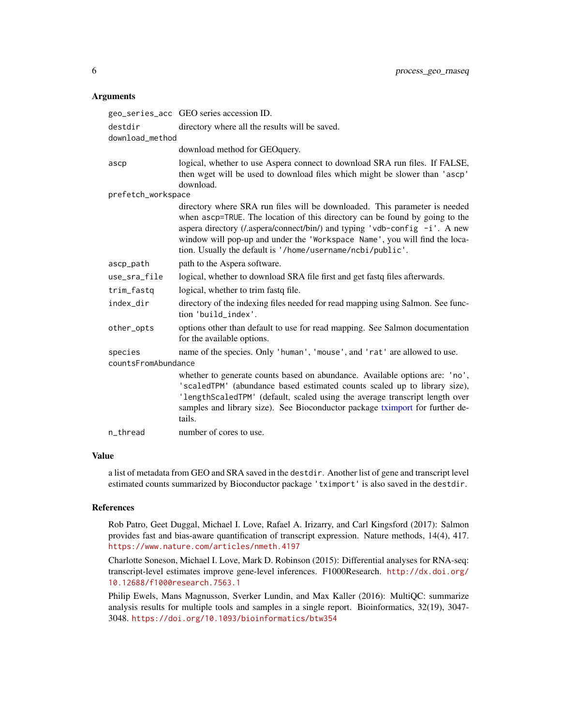#### <span id="page-5-0"></span>Arguments

|                     | geo_series_acc GEO series accession ID.                                                                                                                                                                                                                                                                                                                                                      |
|---------------------|----------------------------------------------------------------------------------------------------------------------------------------------------------------------------------------------------------------------------------------------------------------------------------------------------------------------------------------------------------------------------------------------|
| destdir             | directory where all the results will be saved.                                                                                                                                                                                                                                                                                                                                               |
| download_method     |                                                                                                                                                                                                                                                                                                                                                                                              |
|                     | download method for GEOquery.                                                                                                                                                                                                                                                                                                                                                                |
| ascp                | logical, whether to use Aspera connect to download SRA run files. If FALSE,<br>then wget will be used to download files which might be slower than 'ascp'<br>download.                                                                                                                                                                                                                       |
| prefetch_workspace  |                                                                                                                                                                                                                                                                                                                                                                                              |
|                     | directory where SRA run files will be downloaded. This parameter is needed<br>when ascp=TRUE. The location of this directory can be found by going to the<br>aspera directory ( <i>l</i> .aspera/connect/bin/) and typing 'vdb-config -i'. A new<br>window will pop-up and under the 'Workspace Name', you will find the loca-<br>tion. Usually the default is '/home/username/ncbi/public'. |
| ascp_path           | path to the Aspera software.                                                                                                                                                                                                                                                                                                                                                                 |
| use_sra_file        | logical, whether to download SRA file first and get fastq files afterwards.                                                                                                                                                                                                                                                                                                                  |
| trim_fastq          | logical, whether to trim fastq file.                                                                                                                                                                                                                                                                                                                                                         |
| index_dir           | directory of the indexing files needed for read mapping using Salmon. See func-<br>tion 'build_index'.                                                                                                                                                                                                                                                                                       |
| other_opts          | options other than default to use for read mapping. See Salmon documentation<br>for the available options.                                                                                                                                                                                                                                                                                   |
| species             | name of the species. Only 'human', 'mouse', and 'rat' are allowed to use.                                                                                                                                                                                                                                                                                                                    |
| countsFromAbundance |                                                                                                                                                                                                                                                                                                                                                                                              |
|                     | whether to generate counts based on abundance. Available options are: 'no',<br>'scaledTPM' (abundance based estimated counts scaled up to library size),<br>'lengthScaledTPM' (default, scaled using the average transcript length over<br>samples and library size). See Bioconductor package tximport for further de-<br>tails.                                                            |
| n_thread            | number of cores to use.                                                                                                                                                                                                                                                                                                                                                                      |

### Value

a list of metadata from GEO and SRA saved in the destdir. Another list of gene and transcript level estimated counts summarized by Bioconductor package 'tximport' is also saved in the destdir.

# References

Rob Patro, Geet Duggal, Michael I. Love, Rafael A. Irizarry, and Carl Kingsford (2017): Salmon provides fast and bias-aware quantification of transcript expression. Nature methods, 14(4), 417. <https://www.nature.com/articles/nmeth.4197>

Charlotte Soneson, Michael I. Love, Mark D. Robinson (2015): Differential analyses for RNA-seq: transcript-level estimates improve gene-level inferences. F1000Research. [http://dx.doi.org/](http://dx.doi.org/10.12688/f1000research.7563.1) [10.12688/f1000research.7563.1](http://dx.doi.org/10.12688/f1000research.7563.1)

Philip Ewels, Mans Magnusson, Sverker Lundin, and Max Kaller (2016): MultiQC: summarize analysis results for multiple tools and samples in a single report. Bioinformatics, 32(19), 3047- 3048. <https://doi.org/10.1093/bioinformatics/btw354>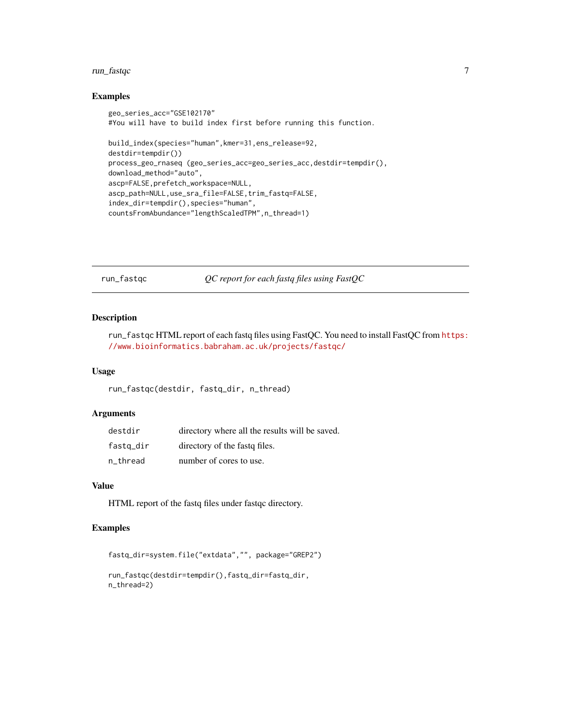# <span id="page-6-0"></span>run\_fastqc 7

#### Examples

```
geo_series_acc="GSE102170"
#You will have to build index first before running this function.
build_index(species="human",kmer=31,ens_release=92,
destdir=tempdir())
process_geo_rnaseq (geo_series_acc=geo_series_acc,destdir=tempdir(),
download_method="auto",
ascp=FALSE,prefetch_workspace=NULL,
ascp_path=NULL,use_sra_file=FALSE,trim_fastq=FALSE,
index_dir=tempdir(),species="human",
countsFromAbundance="lengthScaledTPM",n_thread=1)
```
run\_fastqc *QC report for each fastq files using FastQC*

# Description

run\_fastqc HTML report of each fastq files using FastQC. You need to install FastQC from [https:](https://www.bioinformatics.babraham.ac.uk/projects/fastqc/) [//www.bioinformatics.babraham.ac.uk/projects/fastqc/](https://www.bioinformatics.babraham.ac.uk/projects/fastqc/)

#### Usage

```
run_fastqc(destdir, fastq_dir, n_thread)
```
# Arguments

| destdir   | directory where all the results will be saved. |
|-----------|------------------------------------------------|
| fastq_dir | directory of the fast of files.                |
| n thread  | number of cores to use.                        |

#### Value

HTML report of the fastq files under fastqc directory.

# Examples

```
fastq_dir=system.file("extdata","", package="GREP2")
```

```
run_fastqc(destdir=tempdir(),fastq_dir=fastq_dir,
n_thread=2)
```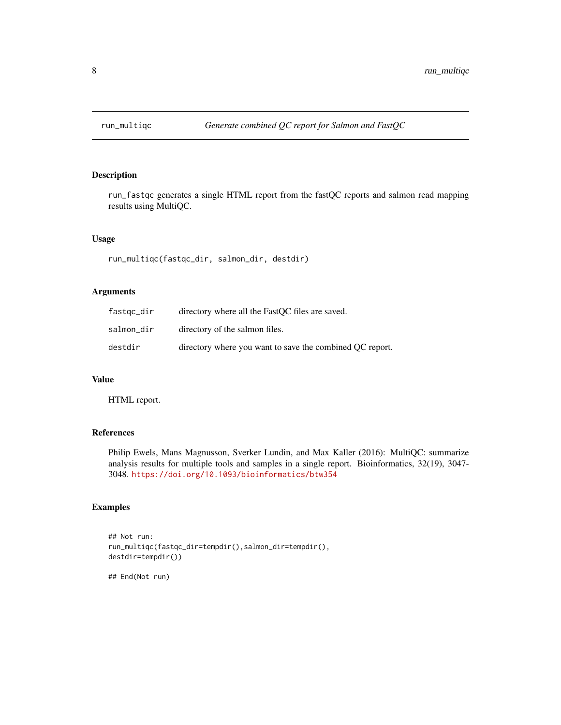<span id="page-7-0"></span>

# Description

run\_fastqc generates a single HTML report from the fastQC reports and salmon read mapping results using MultiQC.

#### Usage

run\_multiqc(fastqc\_dir, salmon\_dir, destdir)

#### Arguments

| fastqc_dir | directory where all the FastQC files are saved.          |
|------------|----------------------------------------------------------|
| salmon dir | directory of the salmon files.                           |
| destdir    | directory where you want to save the combined OC report. |

#### Value

HTML report.

# References

Philip Ewels, Mans Magnusson, Sverker Lundin, and Max Kaller (2016): MultiQC: summarize analysis results for multiple tools and samples in a single report. Bioinformatics, 32(19), 3047- 3048. <https://doi.org/10.1093/bioinformatics/btw354>

#### Examples

```
## Not run:
run_multiqc(fastqc_dir=tempdir(),salmon_dir=tempdir(),
destdir=tempdir())
```
## End(Not run)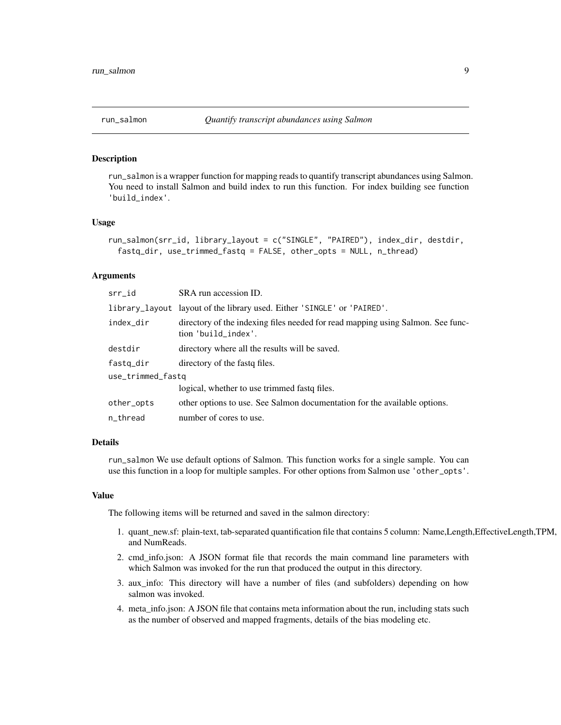<span id="page-8-0"></span>

#### Description

run\_salmon is a wrapper function for mapping reads to quantify transcript abundances using Salmon. You need to install Salmon and build index to run this function. For index building see function 'build\_index'.

#### Usage

```
run_salmon(srr_id, library_layout = c("SINGLE", "PAIRED"), index_dir, destdir,
 fastq_dir, use_trimmed_fastq = FALSE, other_opts = NULL, n_thread)
```
#### Arguments

| srr_id            | SRA run accession ID.                                                                                  |
|-------------------|--------------------------------------------------------------------------------------------------------|
|                   | library_layout layout of the library used. Either 'SINGLE' or 'PAIRED'.                                |
| index_dir         | directory of the indexing files needed for read mapping using Salmon. See func-<br>tion 'build_index'. |
| destdir           | directory where all the results will be saved.                                                         |
| fastq_dir         | directory of the fast of files.                                                                        |
| use_trimmed_fastq |                                                                                                        |
|                   | logical, whether to use trimmed fast of files.                                                         |
| other_opts        | other options to use. See Salmon documentation for the available options.                              |
| n_thread          | number of cores to use.                                                                                |

# Details

run\_salmon We use default options of Salmon. This function works for a single sample. You can use this function in a loop for multiple samples. For other options from Salmon use 'other\_opts'.

#### Value

The following items will be returned and saved in the salmon directory:

- 1. quant\_new.sf: plain-text, tab-separated quantification file that contains 5 column: Name,Length,EffectiveLength,TPM, and NumReads.
- 2. cmd\_info.json: A JSON format file that records the main command line parameters with which Salmon was invoked for the run that produced the output in this directory.
- 3. aux\_info: This directory will have a number of files (and subfolders) depending on how salmon was invoked.
- 4. meta\_info.json: A JSON file that contains meta information about the run, including stats such as the number of observed and mapped fragments, details of the bias modeling etc.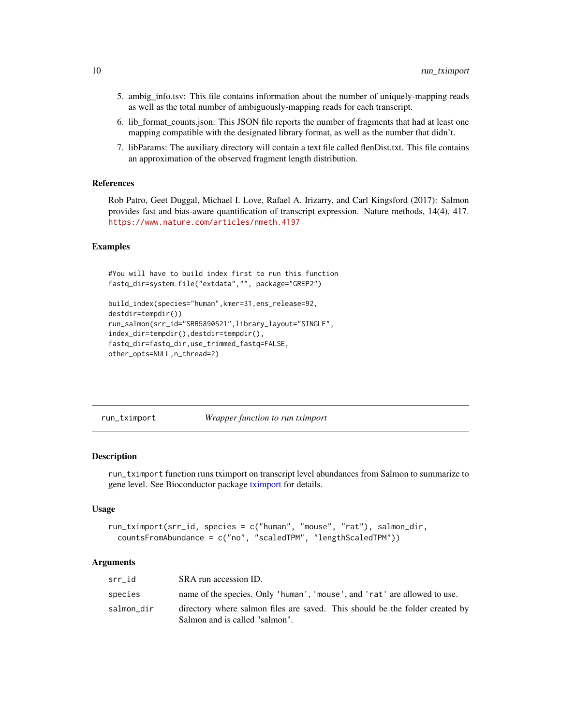- <span id="page-9-0"></span>5. ambig\_info.tsv: This file contains information about the number of uniquely-mapping reads as well as the total number of ambiguously-mapping reads for each transcript.
- 6. lib\_format\_counts.json: This JSON file reports the number of fragments that had at least one mapping compatible with the designated library format, as well as the number that didn't.
- 7. libParams: The auxiliary directory will contain a text file called flenDist.txt. This file contains an approximation of the observed fragment length distribution.

#### References

Rob Patro, Geet Duggal, Michael I. Love, Rafael A. Irizarry, and Carl Kingsford (2017): Salmon provides fast and bias-aware quantification of transcript expression. Nature methods, 14(4), 417. <https://www.nature.com/articles/nmeth.4197>

#### Examples

```
#You will have to build index first to run this function
fastq_dir=system.file("extdata","", package="GREP2")
```

```
build_index(species="human",kmer=31,ens_release=92,
destdir=tempdir())
run_salmon(srr_id="SRR5890521",library_layout="SINGLE",
index_dir=tempdir(),destdir=tempdir(),
fastq_dir=fastq_dir,use_trimmed_fastq=FALSE,
other_opts=NULL,n_thread=2)
```
run\_tximport *Wrapper function to run tximport*

#### Description

run\_tximport function runs tximport on transcript level abundances from Salmon to summarize to gene level. See Bioconductor package [tximport](#page-0-0) for details.

#### Usage

```
run_tximport(srr_id, species = c("human", "mouse", "rat"), salmon_dir,
 countsFromAbundance = c("no", "scaledTPM", "lengthScaledTPM"))
```
#### Arguments

| srr id     | SRA run accession ID.                                                                                          |
|------------|----------------------------------------------------------------------------------------------------------------|
| species    | name of the species. Only 'human', 'mouse', and 'rat' are allowed to use.                                      |
| salmon_dir | directory where salmon files are saved. This should be the folder created by<br>Salmon and is called "salmon". |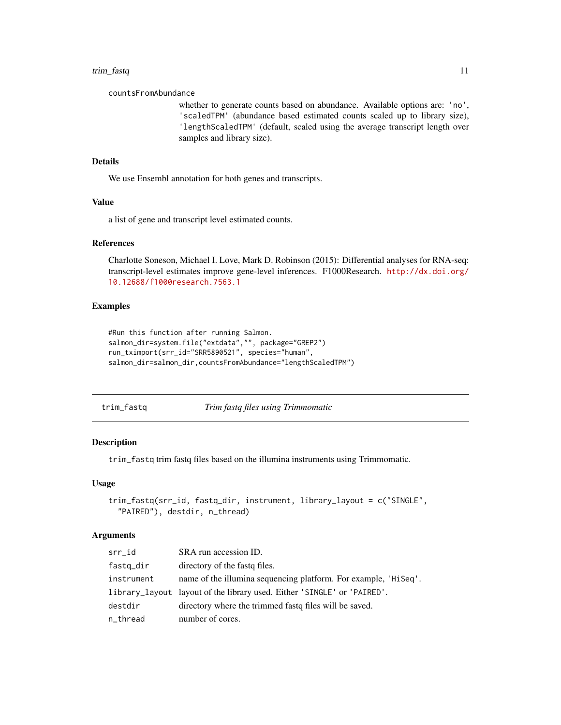#### <span id="page-10-0"></span>trim\_fastq 11

countsFromAbundance

whether to generate counts based on abundance. Available options are: 'no', 'scaledTPM' (abundance based estimated counts scaled up to library size), 'lengthScaledTPM' (default, scaled using the average transcript length over samples and library size).

# Details

We use Ensembl annotation for both genes and transcripts.

# Value

a list of gene and transcript level estimated counts.

#### References

Charlotte Soneson, Michael I. Love, Mark D. Robinson (2015): Differential analyses for RNA-seq: transcript-level estimates improve gene-level inferences. F1000Research. [http://dx.doi.org/](http://dx.doi.org/10.12688/f1000research.7563.1) [10.12688/f1000research.7563.1](http://dx.doi.org/10.12688/f1000research.7563.1)

### Examples

```
#Run this function after running Salmon.
salmon_dir=system.file("extdata","", package="GREP2")
run_tximport(srr_id="SRR5890521", species="human",
salmon_dir=salmon_dir,countsFromAbundance="lengthScaledTPM")
```
trim\_fastq *Trim fastq files using Trimmomatic*

# Description

trim\_fastq trim fastq files based on the illumina instruments using Trimmomatic.

#### Usage

```
trim_fastq(srr_id, fastq_dir, instrument, library_layout = c("SINGLE",
  "PAIRED"), destdir, n_thread)
```
#### Arguments

| srr_id     | SRA run accession ID.                                                   |
|------------|-------------------------------------------------------------------------|
| fastq_dir  | directory of the fast if files.                                         |
| instrument | name of the illumina sequencing platform. For example, 'HiSeq'.         |
|            | library_layout layout of the library used. Either 'SINGLE' or 'PAIRED'. |
| destdir    | directory where the trimmed fast of files will be saved.                |
| n_thread   | number of cores.                                                        |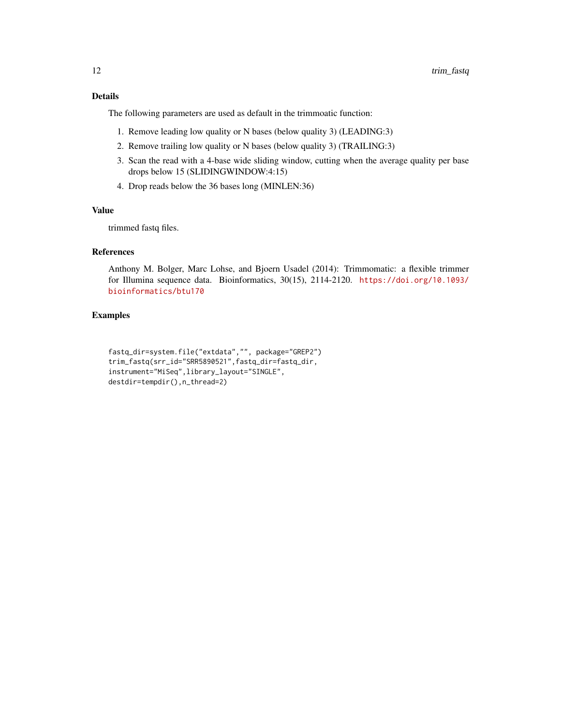# Details

The following parameters are used as default in the trimmoatic function:

- 1. Remove leading low quality or N bases (below quality 3) (LEADING:3)
- 2. Remove trailing low quality or N bases (below quality 3) (TRAILING:3)
- 3. Scan the read with a 4-base wide sliding window, cutting when the average quality per base drops below 15 (SLIDINGWINDOW:4:15)
- 4. Drop reads below the 36 bases long (MINLEN:36)

# Value

trimmed fastq files.

# References

Anthony M. Bolger, Marc Lohse, and Bjoern Usadel (2014): Trimmomatic: a flexible trimmer for Illumina sequence data. Bioinformatics, 30(15), 2114-2120. [https://doi.org/10.1093/](https://doi.org/10.1093/bioinformatics/btu170) [bioinformatics/btu170](https://doi.org/10.1093/bioinformatics/btu170)

# Examples

```
fastq_dir=system.file("extdata","", package="GREP2")
trim_fastq(srr_id="SRR5890521",fastq_dir=fastq_dir,
instrument="MiSeq",library_layout="SINGLE",
destdir=tempdir(),n_thread=2)
```